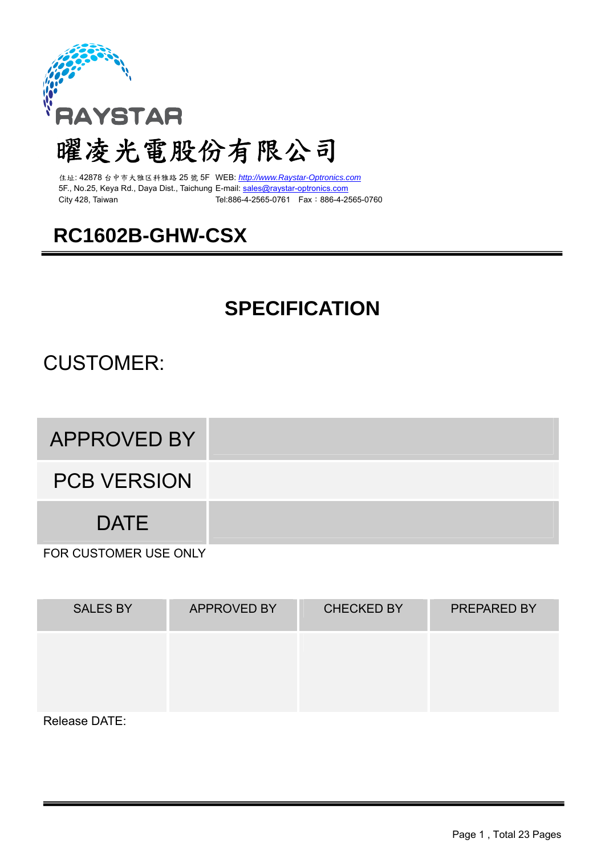

# 曜凌光電股份有限公司

住址: 42878 台中市大雅区科雅路 25 號 5F WEB: *http://www.Raystar-Optronics.com* 5F., No.25, Keya Rd., Daya Dist., Taichung E-mail: sales@raystar-optronics.com City 428, Taiwan Tel:886-4-2565-0761 Fax:886-4-2565-0760

## **RC1602B-GHW-CSX**

## **SPECIFICATION**

## CUSTOMER:

APPROVED BY

PCB VERSION

DATE

FOR CUSTOMER USE ONLY

| <b>SALES BY</b> | <b>APPROVED BY</b> | <b>CHECKED BY</b> | PREPARED BY |
|-----------------|--------------------|-------------------|-------------|
|                 |                    |                   |             |
| Delesse DATE.   |                    |                   |             |

Release DATE: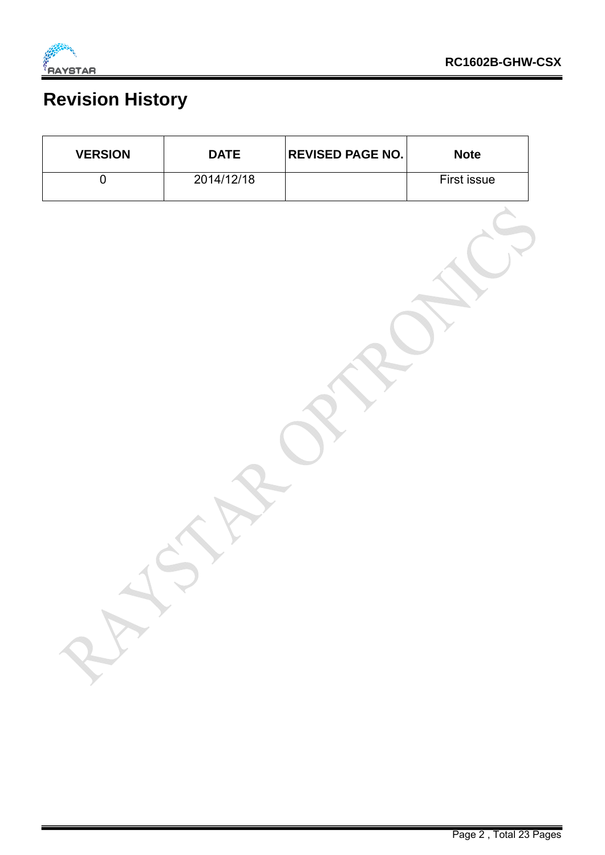

## **Revision History**

| <b>VERSION</b>     | <b>DATE</b> | <b>REVISED PAGE NO.</b> | <b>Note</b>        |
|--------------------|-------------|-------------------------|--------------------|
| $\pmb{0}$          | 2014/12/18  |                         | <b>First issue</b> |
| A<br>$\rightarrow$ |             |                         |                    |
|                    |             |                         |                    |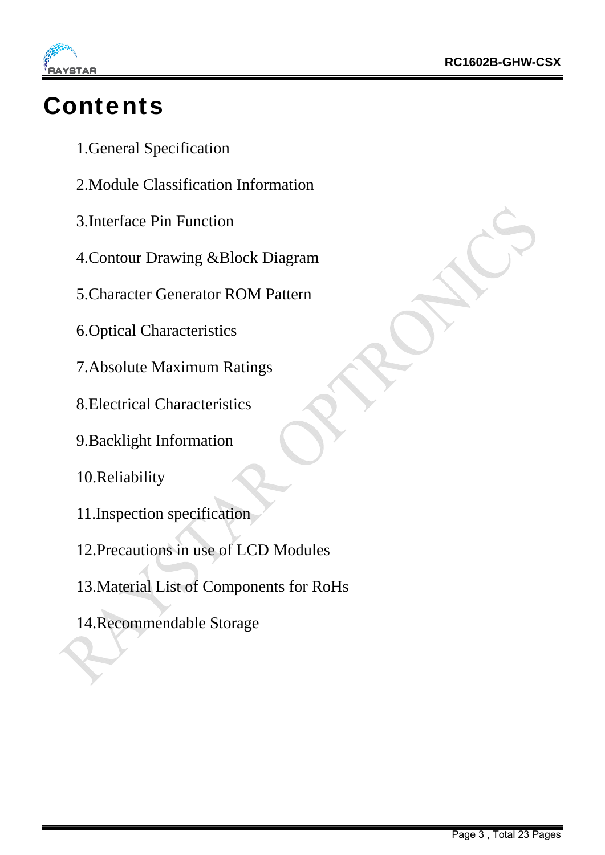

# **Contents**

- 1.General Specification
- 2.Module Classification Information
- 3.Interface Pin Function
- 4.Contour Drawing &Block Diagram
- 5.Character Generator ROM Pattern
- 6.Optical Characteristics
- 7.Absolute Maximum Ratings
- 8.Electrical Characteristics
- 9.Backlight Information
- 10.Reliability
- 11.Inspection specification
- 12.Precautions in use of LCD Modules
- 13.Material List of Components for RoHs
- 14.Recommendable Storage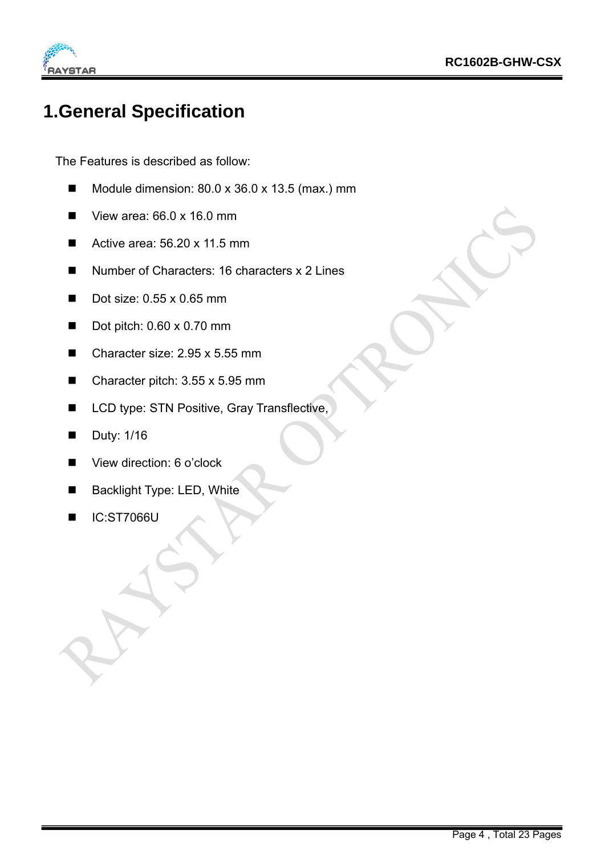

#### **1.General Specification**

The Features is described as follow:

- Module dimension:  $80.0 \times 36.0 \times 13.5$  (max.) mm
- $\blacksquare$  View area: 66.0 x 16.0 mm
- Active area: 56.20 x 11.5 mm
- Number of Characters: 16 characters x 2 Lines
- Dot size: 0.55 x 0.65 mm
- Dot pitch:  $0.60 \times 0.70$  mm
- Character size: 2.95 x 5.55 mm
- Character pitch: 3.55 x 5.95 mm
- LCD type: STN Positive, Gray Transflective,
- Duty: 1/16
- View direction: 6 o'clock
- Backlight Type: LED, White
- IC:ST7066U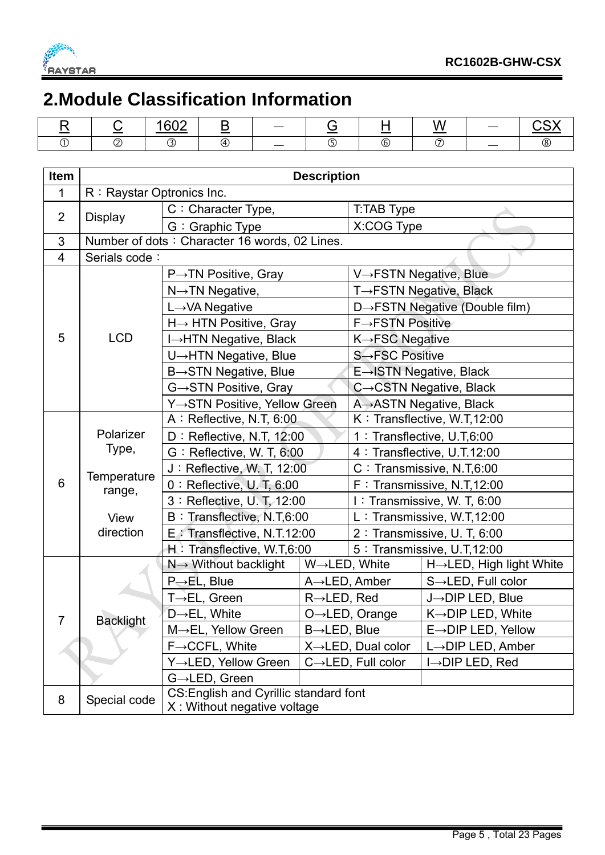

### **2.Module Classification Information**

|  | $\sim$<br>$-$ |              |                          |     | .<br>W<br>_____ | $\overline{\phantom{a}}$ |  |
|--|---------------|--------------|--------------------------|-----|-----------------|--------------------------|--|
|  |               | $\mathbf{v}$ | $\overline{\phantom{a}}$ | (6, |                 | $\overline{\phantom{a}}$ |  |

| <b>Item</b>     | <b>Description</b>                |                                                                       |                          |                                 |                                |  |  |  |  |
|-----------------|-----------------------------------|-----------------------------------------------------------------------|--------------------------|---------------------------------|--------------------------------|--|--|--|--|
| 1               | R: Raystar Optronics Inc.         |                                                                       |                          |                                 |                                |  |  |  |  |
|                 |                                   | C: Character Type,                                                    |                          | T:TAB Type                      |                                |  |  |  |  |
| $\overline{2}$  | <b>Display</b>                    | G: Graphic Type                                                       |                          | X:COG Type                      |                                |  |  |  |  |
| 3               |                                   | Number of dots: Character 16 words, 02 Lines.                         |                          |                                 |                                |  |  |  |  |
| 4               | Serials code:                     |                                                                       |                          |                                 |                                |  |  |  |  |
|                 |                                   | $P\rightarrow TN$ Positive, Gray                                      |                          |                                 | V→FSTN Negative, Blue          |  |  |  |  |
|                 |                                   | $N \rightarrow TN$ Negative,                                          |                          |                                 | T→FSTN Negative, Black         |  |  |  |  |
|                 |                                   | L→VA Negative                                                         |                          |                                 | D→FSTN Negative (Double film)  |  |  |  |  |
|                 |                                   | H→ HTN Positive, Gray                                                 |                          | $F \rightarrow FSTN$ Positive   |                                |  |  |  |  |
| 5               | <b>LCD</b>                        | I→HTN Negative, Black                                                 |                          | K→FSC Negative                  |                                |  |  |  |  |
|                 |                                   | U→HTN Negative, Blue                                                  |                          | S→FSC Positive                  |                                |  |  |  |  |
|                 |                                   | $B \rightarrow STN$ Negative, Blue                                    |                          |                                 | E→ISTN Negative, Black         |  |  |  |  |
|                 |                                   | G→STN Positive, Gray                                                  |                          |                                 | C→CSTN Negative, Black         |  |  |  |  |
|                 |                                   | Y→STN Positive, Yellow Green                                          |                          | A→ASTN Negative, Black          |                                |  |  |  |  |
|                 | Polarizer<br>Type,<br>Temperature | A: Reflective, N.T, 6:00                                              |                          |                                 | K: Transflective, W.T,12:00    |  |  |  |  |
|                 |                                   | D: Reflective, N.T, 12:00                                             |                          |                                 | 1 : Transflective, U.T,6:00    |  |  |  |  |
|                 |                                   | G: Reflective, W. T, 6:00                                             |                          |                                 | 4 : Transflective, U.T.12:00   |  |  |  |  |
|                 |                                   | J: Reflective, W. T, 12:00                                            |                          |                                 | C: Transmissive, N.T,6:00      |  |  |  |  |
| $6\phantom{1}6$ | range,                            | $0:$ Reflective, U.T, 6:00                                            |                          | F: Transmissive, N.T, 12:00     |                                |  |  |  |  |
|                 |                                   | 3 : Reflective, U. T, 12:00                                           |                          | I: Transmissive, W. T, 6:00     |                                |  |  |  |  |
|                 | View                              | B: Transflective, N.T,6:00                                            |                          | L: Transmissive, W.T,12:00      |                                |  |  |  |  |
|                 | direction                         | E : Transflective, N.T.12:00                                          |                          |                                 | 2 : Transmissive, U. T, 6:00   |  |  |  |  |
|                 |                                   | H: Transflective, W.T,6:00                                            |                          |                                 | 5 : Transmissive, U.T.12:00    |  |  |  |  |
|                 |                                   | N→ Without backlight                                                  |                          | W→LED, White                    | H→LED, High light White        |  |  |  |  |
|                 |                                   | $P\rightarrow EL$ , Blue                                              |                          | $A \rightarrow$ LED, Amber      | S→LED, Full color              |  |  |  |  |
|                 |                                   | T→EL, Green                                                           | $R\rightarrow$ LED, Red  |                                 | J-DIP LED, Blue                |  |  |  |  |
| 7               | <b>Backlight</b>                  | D→EL, White                                                           |                          | $O \rightarrow$ LED, Orange     | $K \rightarrow$ DIP LED, White |  |  |  |  |
|                 |                                   | M→EL, Yellow Green                                                    | $B\rightarrow$ LED, Blue |                                 | E→DIP LED, Yellow              |  |  |  |  |
|                 |                                   | $F \rightarrow CCFL$ , White                                          |                          | $X \rightarrow$ LED, Dual color | $L \rightarrow$ DIP LED, Amber |  |  |  |  |
|                 |                                   | Y→LED, Yellow Green                                                   |                          | $C \rightarrow$ LED, Full color | $I \rightarrow$ DIP LED, Red   |  |  |  |  |
|                 |                                   | G→LED, Green                                                          |                          |                                 |                                |  |  |  |  |
| 8               | Special code                      | CS: English and Cyrillic standard font<br>X: Without negative voltage |                          |                                 |                                |  |  |  |  |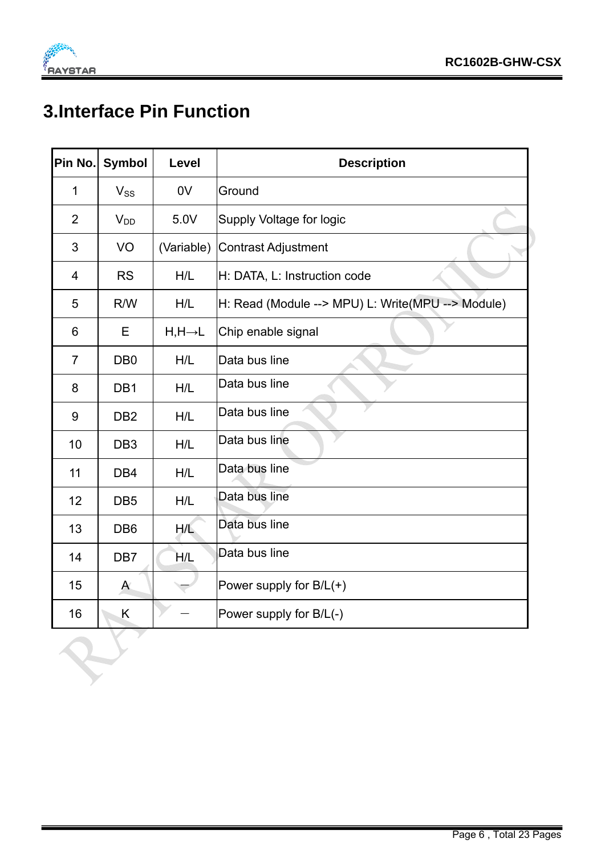

## **3.Interface Pin Function**

| Pin No.        | <b>Symbol</b>    | <b>Level</b>         | <b>Description</b>                                |
|----------------|------------------|----------------------|---------------------------------------------------|
| 1              | $V_{SS}$         | 0V                   | Ground                                            |
| $\overline{2}$ | $V_{DD}$         | 5.0V                 | Supply Voltage for logic                          |
| 3              | VO               | (Variable)           | <b>Contrast Adjustment</b>                        |
| $\overline{4}$ | <b>RS</b>        | H/L                  | H: DATA, L: Instruction code                      |
| 5              | R/W              | H/L                  | H: Read (Module --> MPU) L: Write(MPU --> Module) |
| 6              | E                | $H, H \rightarrow L$ | Chip enable signal                                |
| $\overline{7}$ | D <sub>B</sub> 0 | H/L                  | Data bus line                                     |
| 8              | DB1              | H/L                  | Data bus line                                     |
| 9              | DB <sub>2</sub>  | H/L                  | Data bus line                                     |
| 10             | DB <sub>3</sub>  | H/L                  | Data bus line                                     |
| 11             | DB <sub>4</sub>  | H/L                  | Data bus line                                     |
| 12             | DB <sub>5</sub>  | H/L                  | Data bus line                                     |
| 13             | DB <sub>6</sub>  | H/L                  | Data bus line                                     |
| 14             | DB7              | H/L                  | Data bus line                                     |
| 15             | $\mathsf{A}$     |                      | Power supply for $B/L(+)$                         |
| 16             | Κ                |                      | Power supply for B/L(-)                           |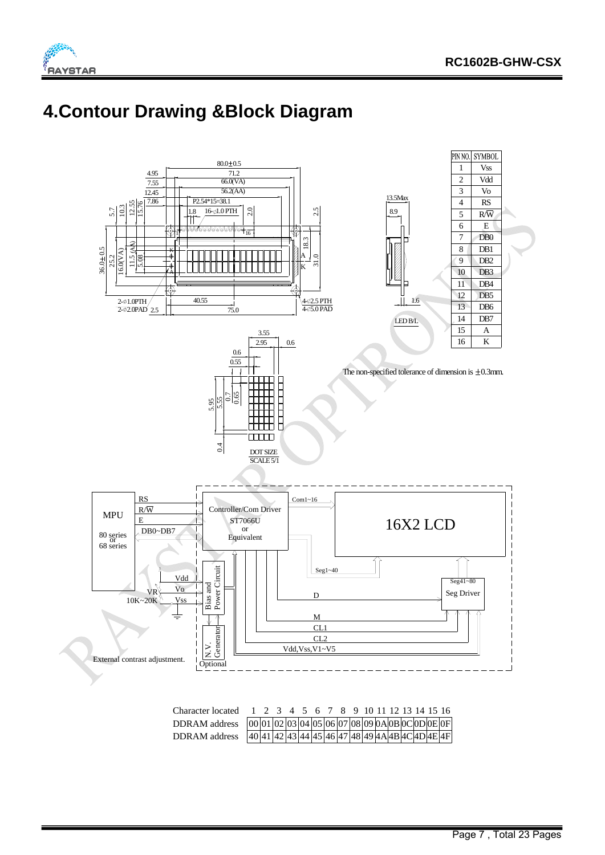



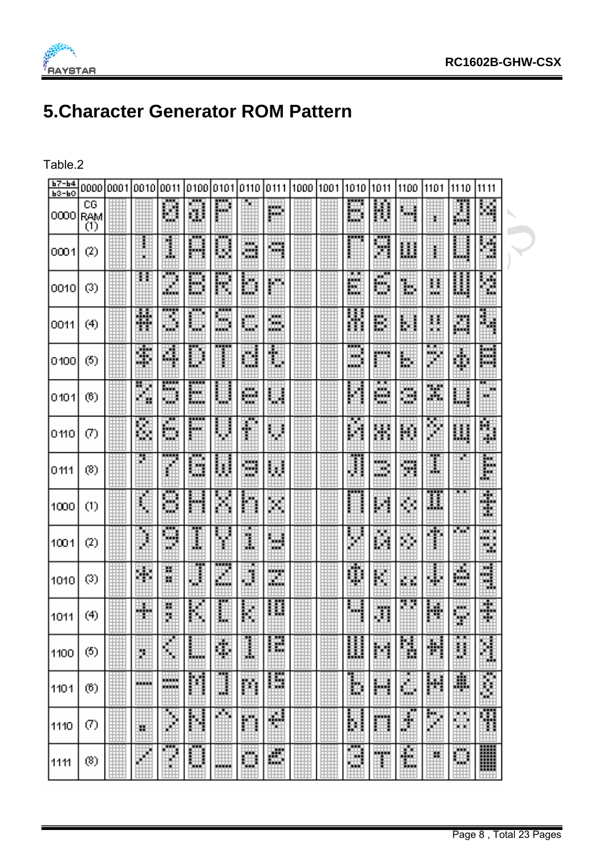

## **5.Character Generator ROM Pattern**

Table.2

| $b7 - b4$<br>$B3 - B0$ | 000010001             | 100101 | 0011                     |             | 0100 0101 0110  |          | 0111   | 1000 1001 | 1010          | 1011      | 1100 | 1101 | 1110    | 1111            |  |
|------------------------|-----------------------|--------|--------------------------|-------------|-----------------|----------|--------|-----------|---------------|-----------|------|------|---------|-----------------|--|
| 0000                   | CG<br><b>RAM</b><br>Õ |        | ₩                        | Ш           | 鼺               |          | m.     |           | Ш             | 鬮         | ш    | H    | 譚       | Ē<br>ă.         |  |
| 0001                   | $\left( 2\right)$     | w      | I                        | 圛           | ш               | - 3<br>B | щ      |           |               | ш<br>ш    | Ш    | H    | ш       | Ü               |  |
| 0010                   | (3)                   | 21     | ₩                        | W           | Œ<br>Ħ          | ₩        | 矘      |           | E             | 賱<br>w    | 躙    | H    | 臘       | Ŏ               |  |
| 0011                   | (4)                   | Ħ      | H                        | ш           | .<br>ш<br>шü    | ж<br>瞴   | H      |           | ¥             | 覵         | 賱    | H    | m       | 爾               |  |
| 0100                   | (5)                   | ۰      | 蠿                        | ▦           | <b>FEB</b><br>į | ▦        | U      |           | W.<br>andalar | pin.      | 凲    | ш    | đ,      | 躢               |  |
| 0101                   | (6)                   | Ħ      | ----<br>RW.<br>ч.        | <br>賱<br>ш. | 4               | ₩        | Ш      |           | M             | 雦<br>an i | ₩    | Ħ    | ▦       | 臘               |  |
| 0110                   | $\left( 7\right)$     | Ë      | H                        | 脚           | ▦               | I        | ▦      |           | Ħ             | 躙         | Ш    | W    | Ш       | f.              |  |
| 0111                   | (8)                   | Z      |                          | ┅<br>W      | U               | B        | 關      |           | J             | .<br>W    | Ħ    | I    |         | I               |  |
| 1000                   | (1)                   | I      | ₩                        | H           | 罤               | H        | Ħ      |           |               | Ш         | H.   | Ħ    | ╌       | ŧ               |  |
| 1001                   | (2)                   | Ï      | m<br>æ                   | I           | H               | J.       | W      |           | y,            | 翻         | W    | ₩.   | w.      | w.<br>mara<br>ш |  |
| 1010                   | (3)                   | 翢      | 巓<br>H.                  | H           | Ħ<br>Ш.         | ₩        | E.     |           | φ             | H         | 賱    | 賱    | ē       | w<br>H          |  |
| 1011                   | (4)                   | ₩      | ţ                        | H           | <br>îш          | 网        | 關      |           |               | H         |      | H    | ÿ       | P               |  |
| 1100                   | (5)                   | U.     | W.                       | 脚           | 驒               | 畢        | B<br>B |           | Ш             | 鬬         | ŧ    | 釂    | D       | Ħ               |  |
| 1101                   | (6)                   | .      | <b>HOURS</b><br>والمتحاد | 鼺           | <br>▦           | 鬮        | 臑      |           | B             | H         | 驒    | 鼺    | \$      | Ī<br>Ш          |  |
| 1110                   | $\left( 7\right)$     | н      | ٩<br>₩Ů                  | 鬬           | m               | m        | ۸      |           | B             | m         | H.   | Ħ    | жx<br>₩ | H               |  |
| 1111                   | (8)                   |        | H                        | 4           | <b>MARKET</b>   | ▦        | 膷      |           | Ħ             | H         | H    | H.   | ₩       | ▒<br>ᄈ          |  |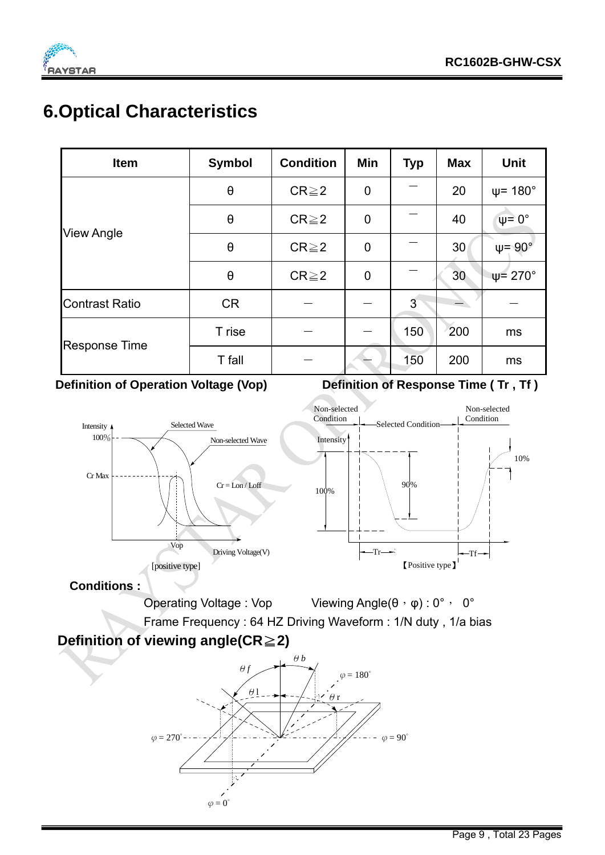

#### **6.Optical Characteristics**

| <b>Item</b>           | <b>Symbol</b>         | <b>Condition</b>           | Min         | <b>Typ</b> | <b>Max</b> | <b>Unit</b>             |
|-----------------------|-----------------------|----------------------------|-------------|------------|------------|-------------------------|
|                       | $\theta$              | $\mathbf 0$<br>$CR \geq 2$ |             |            | 20         | $\psi$ = 180 $^{\circ}$ |
|                       | $\theta$              | $CR \geq 2$                | $\mathbf 0$ |            | 40         | $\Psi$ = 0°             |
| <b>View Angle</b>     | $\boldsymbol{\theta}$ | $CR \geq 2$                |             |            | 30         | $\psi = 90^{\circ}$     |
|                       | $\theta$              | $CR \geq 2$                | $\mathbf 0$ |            | 30         | $\Psi$ = 270 $^{\circ}$ |
| <b>Contrast Ratio</b> | <b>CR</b>             |                            |             | 3          |            |                         |
|                       | T rise                |                            |             | 150        | 200        | ms                      |
| <b>Response Time</b>  | T fall                |                            |             | 150        | 200        | ms                      |

**Definition of Operation Voltage (Vop)** Definition of Response Time (Tr, Tf)



Operating Voltage : Vop Viewing Angle(θ, φ) : 0°, 0°

Frame Frequency : 64 HZ Driving Waveform : 1/N duty , 1/a bias

#### **Definition of viewing angle(CR ≥ 2)**

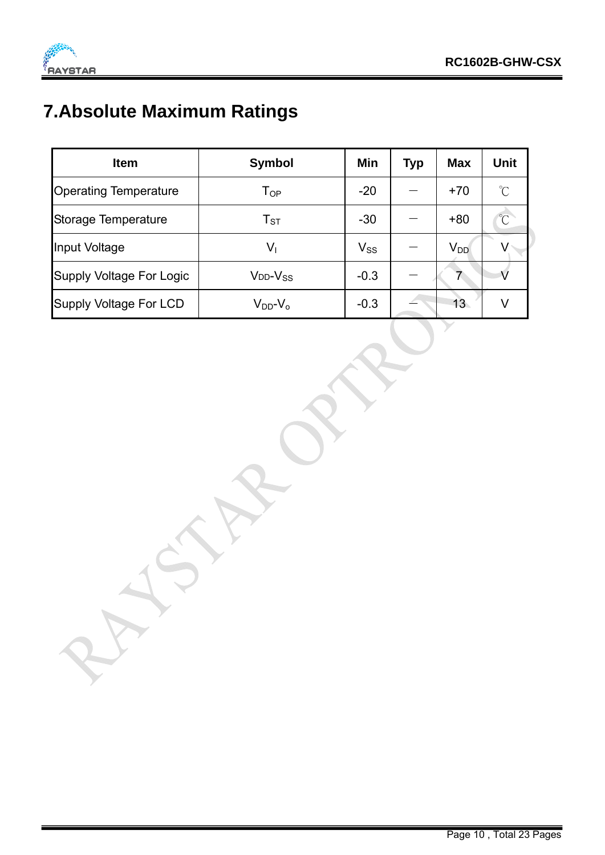

## **7.Absolute Maximum Ratings**

| <b>Item</b>                     | <b>Symbol</b>       | Min      | <b>Typ</b> | <b>Max</b> | <b>Unit</b>          |
|---------------------------------|---------------------|----------|------------|------------|----------------------|
| <b>Operating Temperature</b>    | $T_{OP}$            | $-20$    |            | $+70$      | $\mathrm{C}^{\circ}$ |
| Storage Temperature             | $T_{ST}$            | $-30$    |            | $+80$      | $\int_{0}^{\infty}$  |
| Input Voltage                   | $V_1$               | $V_{SS}$ |            | $V_{DD}$   |                      |
| <b>Supply Voltage For Logic</b> | $V_{DD}$ - $V_{SS}$ | $-0.3$   |            |            |                      |
| <b>Supply Voltage For LCD</b>   | $V_{DD}$ - $V_{O}$  | $-0.3$   |            | 13         | V                    |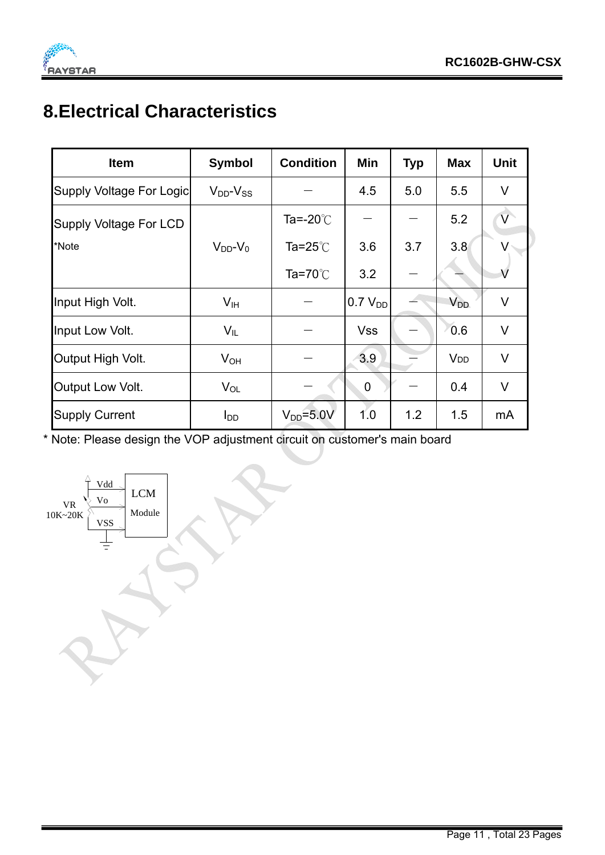

## **8.Electrical Characteristics**

| <b>Item</b>              | <b>Symbol</b>       | <b>Condition</b>   | Min                 | <b>Typ</b> | <b>Max</b>            | <b>Unit</b>             |
|--------------------------|---------------------|--------------------|---------------------|------------|-----------------------|-------------------------|
| Supply Voltage For Logic | $V_{DD}$ - $V_{SS}$ |                    | 4.5                 | 5.0        | 5.5                   | V                       |
| Supply Voltage For LCD   |                     | Ta=-20 $\degree$ C |                     |            | 5.2                   | $\overline{\mathsf{V}}$ |
| *Note                    | $V_{DD}$ - $V_0$    | Ta=25 $^{\circ}$ C | 3.6                 | 3.7        | 3.8                   |                         |
|                          |                     | Ta=70 $°C$         | 3.2                 |            |                       | $\vee$                  |
| Input High Volt.         | V <sub>IH</sub>     |                    | 0.7 V <sub>DD</sub> |            | <b>V<sub>DD</sub></b> | V                       |
| Input Low Volt.          | $V_{IL}$            |                    | <b>Vss</b>          |            | 0.6                   | $\vee$                  |
| Output High Volt.        | $V_{OH}$            |                    | 3.9                 |            | <b>V<sub>DD</sub></b> | $\vee$                  |
| Output Low Volt.         | $V_{OL}$            |                    | $\mathbf 0$         |            | 0.4                   | V                       |
| <b>Supply Current</b>    | $I_{DD}$            | $V_{DD} = 5.0 V$   | 1.0                 | 1.2        | 1.5                   | mA                      |

\* Note: Please design the VOP adjustment circuit on customer's main board

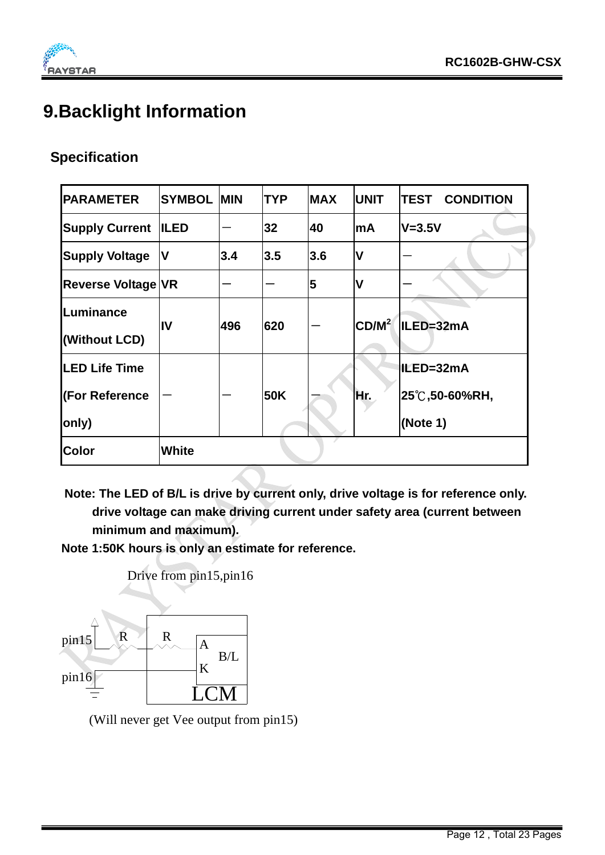#### **9.Backlight Information**

#### **Specification**

| <b>PARAMETER</b>          | <b>SYMBOL</b> | <b>MIN</b> | <b>TYP</b> | <b>MAX</b> | <b>UNIT</b>       | <b>TEST CONDITION</b> |
|---------------------------|---------------|------------|------------|------------|-------------------|-----------------------|
| <b>Supply Current</b>     | <b>ILED</b>   |            | 32         | 40         | <b>mA</b>         | <b>V=3.5V</b>         |
| <b>Supply Voltage</b>     | IV            | 3.4        | 3.5        | 3.6        | $\mathsf{V}$      |                       |
| <b>Reverse Voltage VR</b> |               |            |            | 5          | $\mathsf{V}$      |                       |
| Luminance                 | IV            | 496        | 620        |            | CD/M <sup>2</sup> | ILED=32mA             |
| (Without LCD)             |               |            |            |            |                   |                       |
| <b>LED Life Time</b>      |               |            |            |            |                   | IILED=32mA            |
| (For Reference            |               |            | 50K        |            | Hr.               | 25℃,50-60%RH,         |
| only)                     |               |            |            |            |                   | (Note 1)              |
| <b>Color</b>              | <b>White</b>  |            |            |            |                   |                       |

**Note: The LED of B/L is drive by current only, drive voltage is for reference only. drive voltage can make driving current under safety area (current between minimum and maximum).** 

**Note 1:50K hours is only an estimate for reference.** 



(Will never get Vee output from pin15)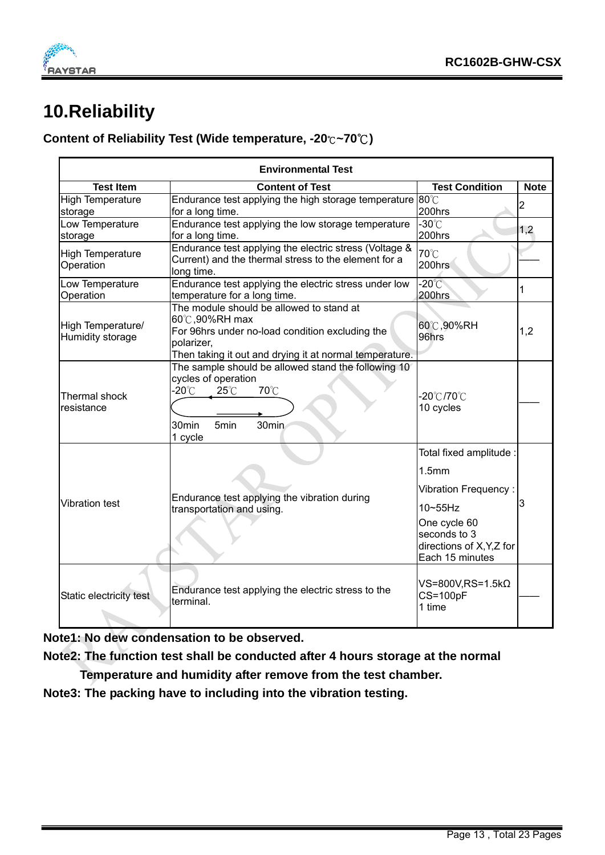

### **10.Reliability**

#### **Content of Reliability Test (Wide temperature, -20**℃**~70 )** ℃

|                                       | <b>Environmental Test</b>                                                                                                                                                             |                                                                                                                                                                                |                |  |  |  |  |  |  |  |
|---------------------------------------|---------------------------------------------------------------------------------------------------------------------------------------------------------------------------------------|--------------------------------------------------------------------------------------------------------------------------------------------------------------------------------|----------------|--|--|--|--|--|--|--|
| <b>Test Item</b>                      | <b>Content of Test</b>                                                                                                                                                                | <b>Test Condition</b>                                                                                                                                                          | <b>Note</b>    |  |  |  |  |  |  |  |
| <b>High Temperature</b><br>storage    | Endurance test applying the high storage temperature<br>for a long time.                                                                                                              | $80^{\circ}$ C<br>200hrs                                                                                                                                                       | $\overline{c}$ |  |  |  |  |  |  |  |
| Low Temperature<br>storage            | Endurance test applying the low storage temperature<br>for a long time.                                                                                                               | $-30^{\circ}$<br>200hrs                                                                                                                                                        | 1,2            |  |  |  |  |  |  |  |
| <b>High Temperature</b><br>Operation  | Endurance test applying the electric stress (Voltage &<br>Current) and the thermal stress to the element for a<br>long time.                                                          | 70°C<br>200hrs                                                                                                                                                                 |                |  |  |  |  |  |  |  |
| Low Temperature<br>Operation          | Endurance test applying the electric stress under low<br>temperature for a long time.                                                                                                 | $-20^{\circ}$ C<br>200hrs                                                                                                                                                      | 1              |  |  |  |  |  |  |  |
| High Temperature/<br>Humidity storage | The module should be allowed to stand at<br>60℃,90%RH max<br>For 96hrs under no-load condition excluding the<br>polarizer,<br>Then taking it out and drying it at normal temperature. | 60℃,90%RH<br>96hrs                                                                                                                                                             | 1,2            |  |  |  |  |  |  |  |
| Thermal shock<br>resistance           | The sample should be allowed stand the following 10<br>cycles of operation<br>-20 $^{\circ}$ C<br>70°C<br>$25^{\circ}$ C<br>30min<br>30min<br>5 <sub>min</sub><br>1 cycle             | -20℃/70℃<br>10 cycles                                                                                                                                                          |                |  |  |  |  |  |  |  |
| <b>Vibration test</b>                 | Endurance test applying the vibration during<br>transportation and using.                                                                                                             | Total fixed amplitude :<br>1.5 <sub>mm</sub><br><b>Vibration Frequency:</b><br>$10 \sim 55$ Hz<br>One cycle 60<br>seconds to 3<br>directions of X, Y, Z for<br>Each 15 minutes | 3              |  |  |  |  |  |  |  |
| Static electricity test               | Endurance test applying the electric stress to the<br>terminal.                                                                                                                       | VS=800V,RS=1.5kΩ<br><b>CS=100pF</b><br>1 time                                                                                                                                  |                |  |  |  |  |  |  |  |

**Note1: No dew condensation to be observed.** 

**Note2: The function test shall be conducted after 4 hours storage at the normal** 

 **Temperature and humidity after remove from the test chamber.** 

**Note3: The packing have to including into the vibration testing.**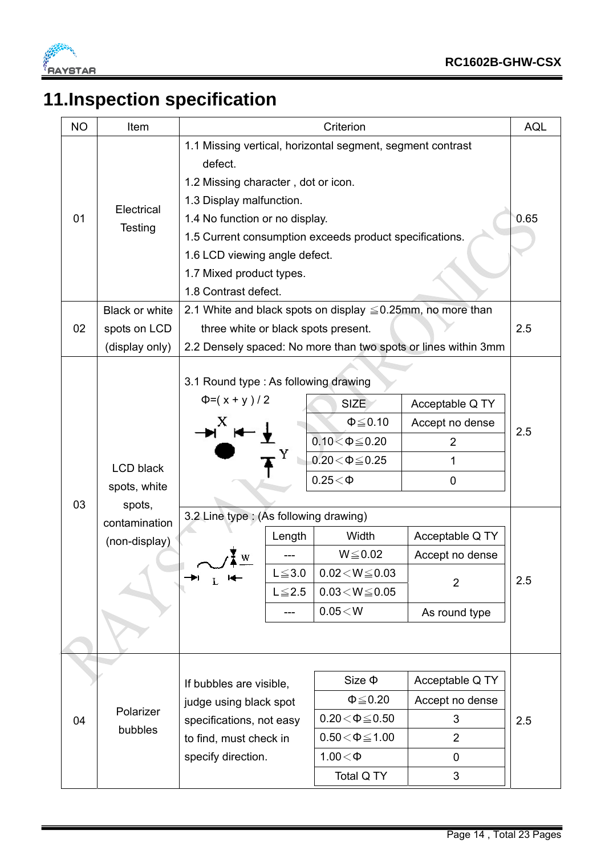

## **11.Inspection specification**

| <b>NO</b> | Item                                                                         |                                                                                                                                       |                                                                                                                                                                                                                                                                                                                        | Criterion                                                                                                                                                                                          |                                                                                                                            | <b>AQL</b> |  |  |  |
|-----------|------------------------------------------------------------------------------|---------------------------------------------------------------------------------------------------------------------------------------|------------------------------------------------------------------------------------------------------------------------------------------------------------------------------------------------------------------------------------------------------------------------------------------------------------------------|----------------------------------------------------------------------------------------------------------------------------------------------------------------------------------------------------|----------------------------------------------------------------------------------------------------------------------------|------------|--|--|--|
| 01        | Electrical<br><b>Testing</b>                                                 | 1.1 Missing vertical, horizontal segment, segment contrast<br>defect.                                                                 | 1.2 Missing character, dot or icon.<br>1.3 Display malfunction.<br>1.4 No function or no display.<br>1.5 Current consumption exceeds product specifications.<br>1.6 LCD viewing angle defect.<br>1.7 Mixed product types.<br>1.8 Contrast defect.<br>2.1 White and black spots on display $\leq 0.25$ mm, no more than |                                                                                                                                                                                                    |                                                                                                                            |            |  |  |  |
|           | <b>Black or white</b>                                                        |                                                                                                                                       |                                                                                                                                                                                                                                                                                                                        |                                                                                                                                                                                                    |                                                                                                                            | 2.5        |  |  |  |
| 02        | spots on LCD<br>(display only)                                               | three white or black spots present.<br>2.2 Densely spaced: No more than two spots or lines within 3mm                                 |                                                                                                                                                                                                                                                                                                                        |                                                                                                                                                                                                    |                                                                                                                            |            |  |  |  |
| 03        | <b>LCD black</b><br>spots, white<br>spots,<br>contamination<br>(non-display) | 3.1 Round type : As following drawing<br>$\Phi = (x + y)/2$<br><sub>N</sub> <sup>X</sup> H →<br>3.2 Line type: (As following drawing) | Length<br>$L \le 3.0$<br>$L \leq 2.5$<br>---                                                                                                                                                                                                                                                                           | <b>SIZE</b><br>$\Phi \leq 0.10$<br>$0.10 < \Phi \le 0.20$<br>$0.20 \le \Phi \le 0.25$<br>$0.25<\Phi$<br>Width<br>$W \le 0.02$<br>$0.02\!<\!W\!\leq\!0.03$<br>$0.03\!<\!W\!\leq\!0.05$<br>$0.05<$ W | Acceptable Q TY<br>Accept no dense<br>2<br>1<br>0<br>Acceptable Q TY<br>Accept no dense<br>$\overline{2}$<br>As round type | 2.5<br>2.5 |  |  |  |
| 04        | Polarizer<br>bubbles                                                         | If bubbles are visible,<br>judge using black spot<br>specifications, not easy<br>to find, must check in<br>specify direction.         |                                                                                                                                                                                                                                                                                                                        | $Size \Phi$<br>$\Phi \leq 0.20$<br>$0.20 \le \Phi \le 0.50$<br>$0.50 \le \Phi \le 1.00$<br>$1.00<\Phi$<br>Total Q TY                                                                               | Acceptable Q TY<br>Accept no dense<br>3<br>$\overline{2}$<br>0<br>3                                                        | 2.5        |  |  |  |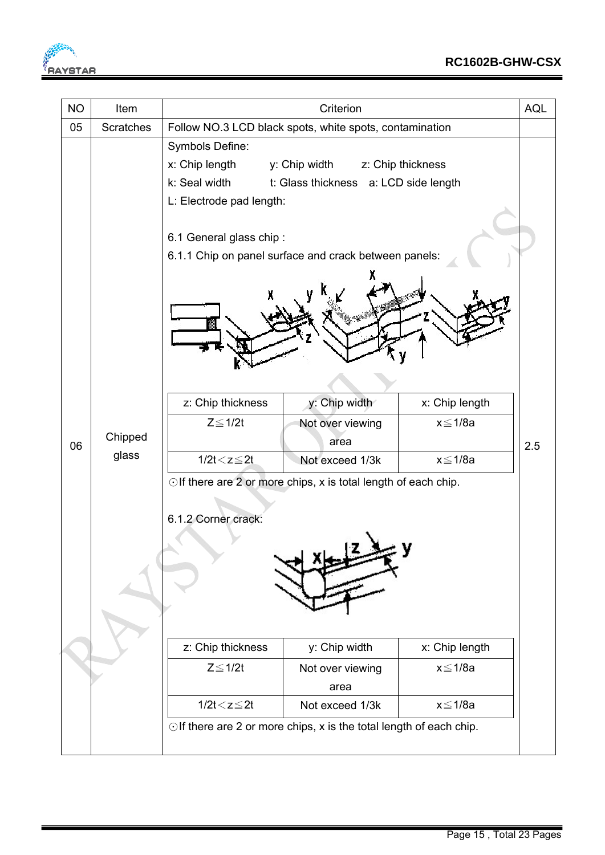

| <b>NO</b> | Item             | Criterion<br><b>AQL</b>                                 |                                                                           |                |     |  |
|-----------|------------------|---------------------------------------------------------|---------------------------------------------------------------------------|----------------|-----|--|
| 05        | <b>Scratches</b> | Follow NO.3 LCD black spots, white spots, contamination |                                                                           |                |     |  |
|           |                  | Symbols Define:                                         |                                                                           |                |     |  |
|           |                  | x: Chip length                                          | y: Chip width z: Chip thickness                                           |                |     |  |
|           |                  | k: Seal width                                           | t: Glass thickness a: LCD side length                                     |                |     |  |
|           |                  | L: Electrode pad length:                                |                                                                           |                |     |  |
|           |                  |                                                         |                                                                           |                |     |  |
|           |                  | 6.1 General glass chip:                                 |                                                                           |                |     |  |
|           |                  |                                                         | 6.1.1 Chip on panel surface and crack between panels:                     |                |     |  |
|           |                  |                                                         |                                                                           |                |     |  |
|           |                  | z: Chip thickness                                       | y: Chip width                                                             | x: Chip length |     |  |
|           |                  | $Z \leq 1/2t$                                           | Not over viewing                                                          | x≦1/8a         |     |  |
| 06        | Chipped          |                                                         | area                                                                      |                | 2.5 |  |
|           | glass            | $1/2t < z \leq 2t$                                      | Not exceed 1/3k                                                           | x≦1/8a         |     |  |
|           |                  |                                                         | $\odot$ If there are 2 or more chips, x is total length of each chip.     |                |     |  |
|           |                  |                                                         |                                                                           |                |     |  |
|           |                  | 6.1.2 Corner crack:                                     |                                                                           |                |     |  |
|           |                  |                                                         |                                                                           |                |     |  |
|           |                  |                                                         |                                                                           |                |     |  |
|           |                  |                                                         |                                                                           |                |     |  |
|           |                  |                                                         |                                                                           |                |     |  |
|           |                  |                                                         |                                                                           |                |     |  |
|           |                  |                                                         |                                                                           |                |     |  |
|           |                  | z: Chip thickness                                       | y: Chip width                                                             | x: Chip length |     |  |
|           |                  | $Z \leq 1/2t$                                           | Not over viewing                                                          | $x \leq 1/8a$  |     |  |
|           |                  |                                                         | area                                                                      |                |     |  |
|           |                  | $1/2t < z \leq 2t$                                      | Not exceed 1/3k                                                           | x≦1/8a         |     |  |
|           |                  |                                                         | $\odot$ If there are 2 or more chips, x is the total length of each chip. |                |     |  |
|           |                  |                                                         |                                                                           |                |     |  |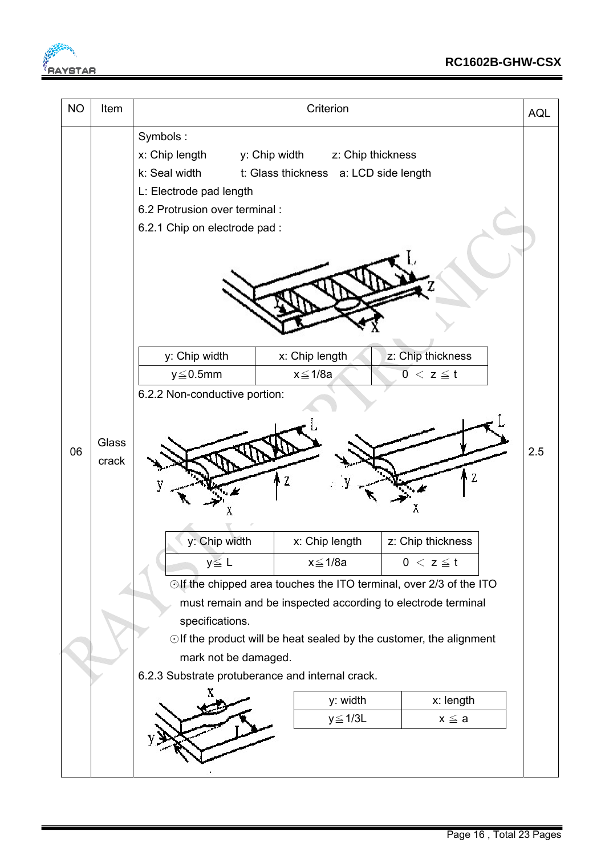

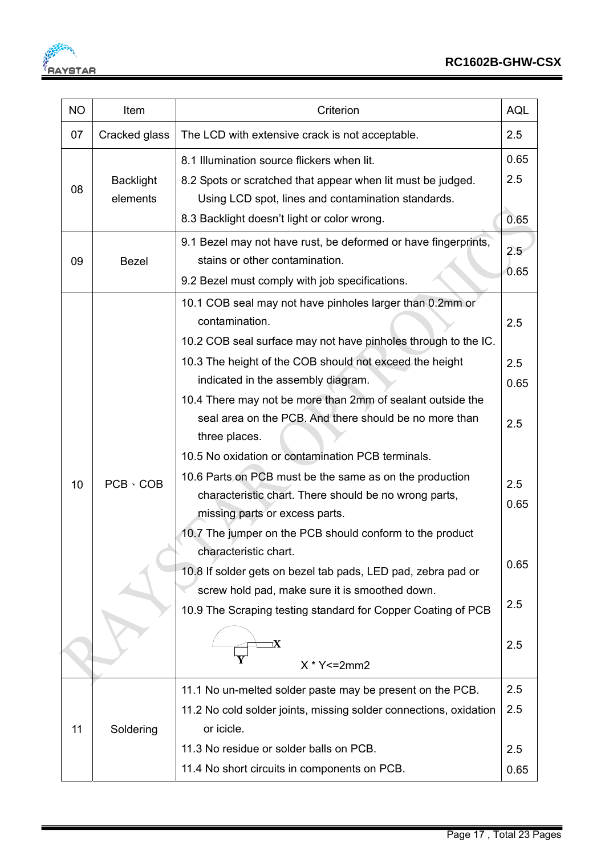**FALL** 

| <b>NO</b> | Item                         | Criterion                                                                                                                                                                                                      |                     |
|-----------|------------------------------|----------------------------------------------------------------------------------------------------------------------------------------------------------------------------------------------------------------|---------------------|
| 07        | Cracked glass                | The LCD with extensive crack is not acceptable.                                                                                                                                                                |                     |
| 08        | <b>Backlight</b><br>elements | 8.1 Illumination source flickers when lit.<br>8.2 Spots or scratched that appear when lit must be judged.<br>Using LCD spot, lines and contamination standards.<br>8.3 Backlight doesn't light or color wrong. | 0.65<br>2.5<br>0.65 |
| 09        | <b>Bezel</b>                 | 9.1 Bezel may not have rust, be deformed or have fingerprints,<br>stains or other contamination.<br>9.2 Bezel must comply with job specifications.                                                             | 2.5<br>0.65         |
|           |                              | 10.1 COB seal may not have pinholes larger than 0.2mm or<br>contamination.<br>10.2 COB seal surface may not have pinholes through to the IC.                                                                   | 2.5                 |
|           |                              | 10.3 The height of the COB should not exceed the height                                                                                                                                                        | 2.5                 |
|           |                              | indicated in the assembly diagram.<br>10.4 There may not be more than 2mm of sealant outside the                                                                                                               | 0.65                |
|           |                              | seal area on the PCB. And there should be no more than<br>three places.                                                                                                                                        | 2.5                 |
|           |                              | 10.5 No oxidation or contamination PCB terminals.                                                                                                                                                              |                     |
| 10        | $PCB \cdot COB$              | 10.6 Parts on PCB must be the same as on the production<br>characteristic chart. There should be no wrong parts,<br>missing parts or excess parts.                                                             | 2.5<br>0.65         |
|           |                              | 10.7 The jumper on the PCB should conform to the product                                                                                                                                                       |                     |
|           |                              | characteristic chart.<br>10.8 If solder gets on bezel tab pads, LED pad, zebra pad or                                                                                                                          | 0.65                |
|           |                              | screw hold pad, make sure it is smoothed down.<br>10.9 The Scraping testing standard for Copper Coating of PCB                                                                                                 | 2.5                 |
|           |                              | īΧ<br>$X * Y \le 2mm2$                                                                                                                                                                                         | 2.5                 |
|           |                              | 11.1 No un-melted solder paste may be present on the PCB.                                                                                                                                                      | 2.5                 |
|           |                              | 11.2 No cold solder joints, missing solder connections, oxidation                                                                                                                                              | 2.5                 |
| 11        | Soldering                    | or icicle.                                                                                                                                                                                                     |                     |
|           |                              | 11.3 No residue or solder balls on PCB.                                                                                                                                                                        | 2.5                 |
|           |                              | 11.4 No short circuits in components on PCB.                                                                                                                                                                   | 0.65                |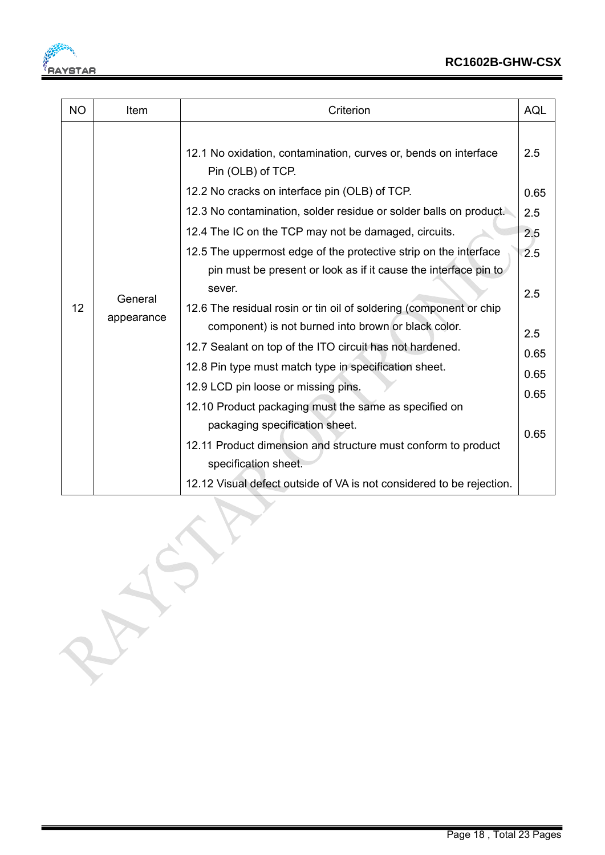

| <b>NO</b> | Item       | Criterion                                                                            | <b>AQL</b>               |
|-----------|------------|--------------------------------------------------------------------------------------|--------------------------|
|           |            | 12.1 No oxidation, contamination, curves or, bends on interface<br>Pin (OLB) of TCP. | 2.5                      |
|           |            | 12.2 No cracks on interface pin (OLB) of TCP.                                        | 0.65                     |
|           |            | 12.3 No contamination, solder residue or solder balls on product.                    | 2.5<br>2.5<br>2.5<br>2.5 |
|           |            | 12.4 The IC on the TCP may not be damaged, circuits.                                 |                          |
|           |            | 12.5 The uppermost edge of the protective strip on the interface                     |                          |
|           |            | pin must be present or look as if it cause the interface pin to                      |                          |
|           | General    | sever.                                                                               |                          |
| 12        | appearance | 12.6 The residual rosin or tin oil of soldering (component or chip                   |                          |
|           |            | component) is not burned into brown or black color.                                  | 2.5                      |
|           |            | 12.7 Sealant on top of the ITO circuit has not hardened.                             | 0.65                     |
|           |            | 12.8 Pin type must match type in specification sheet.                                | 0.65                     |
|           |            | 12.9 LCD pin loose or missing pins.                                                  | 0.65                     |
|           |            | 12.10 Product packaging must the same as specified on                                |                          |
|           |            | packaging specification sheet.                                                       | 0.65                     |
|           |            | 12.11 Product dimension and structure must conform to product                        |                          |
|           |            | specification sheet.                                                                 |                          |
|           |            | 12.12 Visual defect outside of VA is not considered to be rejection.                 |                          |

CSP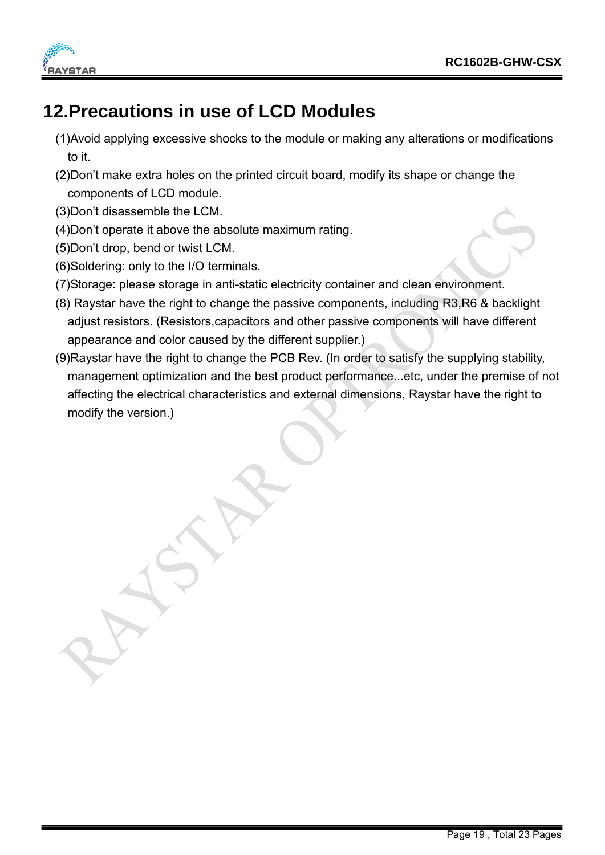



#### **12.Precautions in use of LCD Modules**

- (1)Avoid applying excessive shocks to the module or making any alterations or modifications to it.
- (2)Don't make extra holes on the printed circuit board, modify its shape or change the components of LCD module.
- (3)Don't disassemble the LCM.
- (4)Don't operate it above the absolute maximum rating.
- (5)Don't drop, bend or twist LCM.
- (6)Soldering: only to the I/O terminals.
- (7)Storage: please storage in anti-static electricity container and clean environment.
- (8) Raystar have the right to change the passive components, including R3,R6 & backlight adjust resistors. (Resistors,capacitors and other passive components will have different appearance and color caused by the different supplier.)
- (9)Raystar have the right to change the PCB Rev. (In order to satisfy the supplying stability, management optimization and the best product performance...etc, under the premise of not affecting the electrical characteristics and external dimensions, Raystar have the right to modify the version.)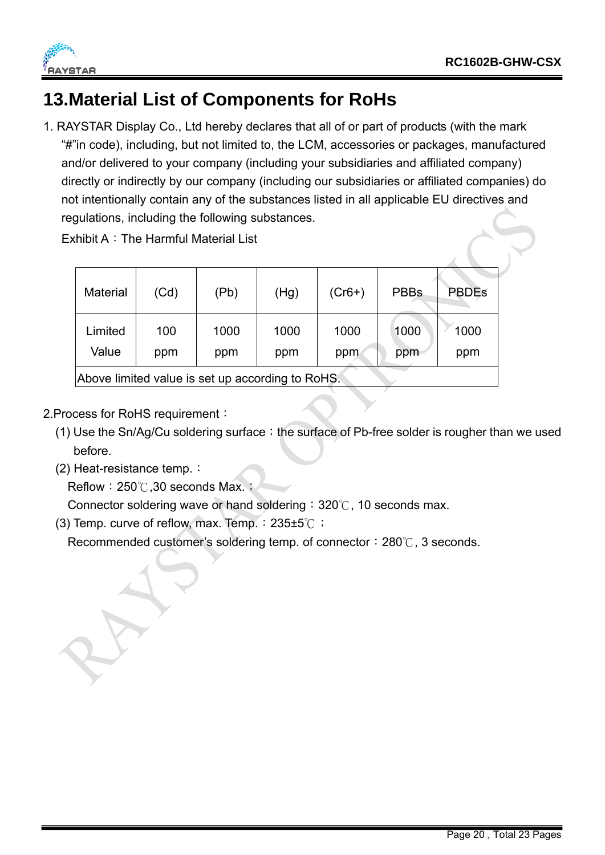



#### **13.Material List of Components for RoHs**

1. RAYSTAR Display Co., Ltd hereby declares that all of or part of products (with the mark "#"in code), including, but not limited to, the LCM, accessories or packages, manufactured and/or delivered to your company (including your subsidiaries and affiliated company) directly or indirectly by our company (including our subsidiaries or affiliated companies) do not intentionally contain any of the substances listed in all applicable EU directives and regulations, including the following substances.

Exhibit A: The Harmful Material List

| <b>Material</b>                                  | (Cd)       | (Pb)        | (Hg)        | $(Cr6+)$    | <b>PBBs</b> | <b>PBDEs</b> |
|--------------------------------------------------|------------|-------------|-------------|-------------|-------------|--------------|
| Limited<br>Value                                 | 100<br>ppm | 1000<br>ppm | 1000<br>ppm | 1000<br>ppm | 1000<br>ppm | 1000<br>ppm  |
| Above limited value is set up according to RoHS. |            |             |             |             |             |              |

- 2.Process for RoHS requirement:
	- (1) Use the Sn/Ag/Cu soldering surface; the surface of Pb-free solder is rougher than we used before.
	- (2) Heat-resistance temp.:

Reflow:  $250^{\circ}$ . 30 seconds Max.;

Connector soldering wave or hand soldering:  $320^{\circ}$ , 10 seconds max.

(3) Temp. curve of reflow, max. Temp.:235±5℃;

Recommended customer's soldering temp. of connector:  $280^\circ$ , 3 seconds.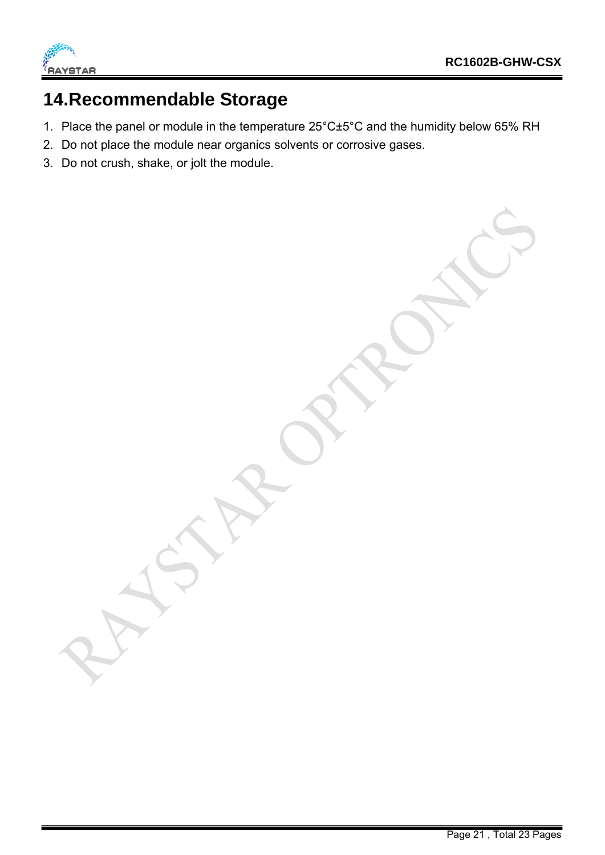

#### **14.Recommendable Storage**

- 1. Place the panel or module in the temperature 25°C±5°C and the humidity below 65% RH
- 2. Do not place the module near organics solvents or corrosive gases.
- 3. Do not crush, shake, or jolt the module.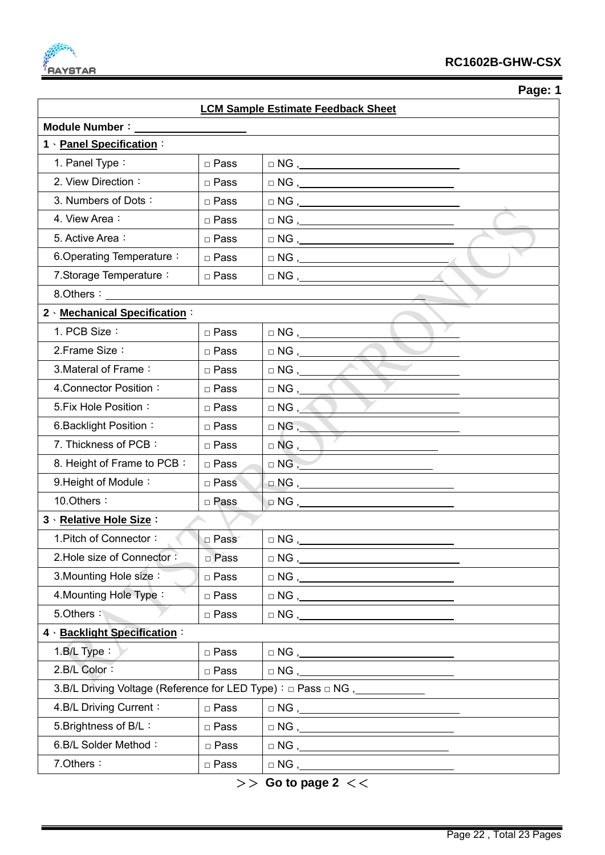

| ۱O<br>r<br>2 |
|--------------|
|--------------|

| <b>LCM Sample Estimate Feedback Sheet</b>                                        |             |                                                                                                                                                                                                                                                                                                                                                                                                                                                                                                              |  |  |  |
|----------------------------------------------------------------------------------|-------------|--------------------------------------------------------------------------------------------------------------------------------------------------------------------------------------------------------------------------------------------------------------------------------------------------------------------------------------------------------------------------------------------------------------------------------------------------------------------------------------------------------------|--|--|--|
| <b>Module Number:</b>                                                            |             |                                                                                                                                                                                                                                                                                                                                                                                                                                                                                                              |  |  |  |
| 1 · Panel Specification:                                                         |             |                                                                                                                                                                                                                                                                                                                                                                                                                                                                                                              |  |  |  |
| 1. Panel Type:                                                                   | □ Pass      | $\begin{tabular}{c} $\fbox{$\sim$} \cr \Box \hspace{2.0pt} \text{NG} \hspace{2.2pt} \end{tabular}$                                                                                                                                                                                                                                                                                                                                                                                                           |  |  |  |
| 2. View Direction:                                                               | □ Pass      |                                                                                                                                                                                                                                                                                                                                                                                                                                                                                                              |  |  |  |
| 3. Numbers of Dots:                                                              | □ Pass      | $\Box$ NG $\Box$                                                                                                                                                                                                                                                                                                                                                                                                                                                                                             |  |  |  |
| 4. View Area:                                                                    | □ Pass      |                                                                                                                                                                                                                                                                                                                                                                                                                                                                                                              |  |  |  |
| 5. Active Area:                                                                  | □ Pass      | $\begin{tabular}{c} $\vartriangle$ NG \end{tabular},$                                                                                                                                                                                                                                                                                                                                                                                                                                                        |  |  |  |
| 6. Operating Temperature:                                                        | □ Pass      |                                                                                                                                                                                                                                                                                                                                                                                                                                                                                                              |  |  |  |
| 7. Storage Temperature:                                                          | □ Pass      |                                                                                                                                                                                                                                                                                                                                                                                                                                                                                                              |  |  |  |
|                                                                                  |             |                                                                                                                                                                                                                                                                                                                                                                                                                                                                                                              |  |  |  |
| 2 Mechanical Specification:                                                      |             |                                                                                                                                                                                                                                                                                                                                                                                                                                                                                                              |  |  |  |
| 1. PCB Size:                                                                     | □ Pass      |                                                                                                                                                                                                                                                                                                                                                                                                                                                                                                              |  |  |  |
| 2. Frame Size:                                                                   | □ Pass      |                                                                                                                                                                                                                                                                                                                                                                                                                                                                                                              |  |  |  |
| 3. Materal of Frame:                                                             | □ Pass      |                                                                                                                                                                                                                                                                                                                                                                                                                                                                                                              |  |  |  |
| 4. Connector Position:                                                           | □ Pass      |                                                                                                                                                                                                                                                                                                                                                                                                                                                                                                              |  |  |  |
| 5. Fix Hole Position:                                                            | □ Pass      | $\Box$ NG , $\triangle$                                                                                                                                                                                                                                                                                                                                                                                                                                                                                      |  |  |  |
| 6. Backlight Position:                                                           | □ Pass      | $\Box$ NG , $\_\_\_\_\_\_\_\$                                                                                                                                                                                                                                                                                                                                                                                                                                                                                |  |  |  |
| 7. Thickness of PCB:                                                             | □ Pass      | $\Box$ NG , $\Box$                                                                                                                                                                                                                                                                                                                                                                                                                                                                                           |  |  |  |
| 8. Height of Frame to PCB:                                                       | □ Pass      | $\Box$ NG $, \_$                                                                                                                                                                                                                                                                                                                                                                                                                                                                                             |  |  |  |
| 9. Height of Module:                                                             | □ Pass      | $\Box$ NG , _____                                                                                                                                                                                                                                                                                                                                                                                                                                                                                            |  |  |  |
| 10.Others:                                                                       | □ Pass      | $\Box$ NG , $\_\_$                                                                                                                                                                                                                                                                                                                                                                                                                                                                                           |  |  |  |
| 3 · Relative Hole Size :                                                         |             |                                                                                                                                                                                                                                                                                                                                                                                                                                                                                                              |  |  |  |
| 1. Pitch of Connector:                                                           | □ Pass      | $\Box$ NG , $\_\_$                                                                                                                                                                                                                                                                                                                                                                                                                                                                                           |  |  |  |
| 2. Hole size of Connector:                                                       | □ Pass      | $\begin{tabular}{c} $\fbox{$\sim$} \cr \hline $\sim$} \cr \hline $\sim$ \cr \hline $\sim$ \cr \hline $\sim$ \cr \hline $\sim$ \cr \hline $\sim$ \cr \hline $\sim$ \cr \hline $\sim$ \cr \hline $\sim$ \cr \hline $\sim$ \cr \hline $\sim$ \cr \hline $\sim$ \cr \hline $\sim$ \cr \hline $\sim$ \cr \hline $\sim$ \cr \hline $\sim$ \cr \hline $\sim$ \cr \hline $\sim$ \cr \hline $\sim$ \cr \hline $\sim$ \cr \hline $\sim$ \cr \hline $\sim$ \cr \hline $\sim$ \cr \hline $\sim$ \cr \hline $\sim$ \cr \$ |  |  |  |
| 3. Mounting Hole size:                                                           | □ Pass      |                                                                                                                                                                                                                                                                                                                                                                                                                                                                                                              |  |  |  |
| 4. Mounting Hole Type:                                                           | $\Box$ Pass |                                                                                                                                                                                                                                                                                                                                                                                                                                                                                                              |  |  |  |
| 5.Others:                                                                        | □ Pass      | $\begin{tabular}{ll} $\square$ NG \end{tabular},$                                                                                                                                                                                                                                                                                                                                                                                                                                                            |  |  |  |
| 4 · Backlight Specification :                                                    |             |                                                                                                                                                                                                                                                                                                                                                                                                                                                                                                              |  |  |  |
| $1.B/L$ Type:                                                                    | □ Pass      |                                                                                                                                                                                                                                                                                                                                                                                                                                                                                                              |  |  |  |
| 2.B/L Color:                                                                     | $\Box$ Pass |                                                                                                                                                                                                                                                                                                                                                                                                                                                                                                              |  |  |  |
| 3.B/L Driving Voltage (Reference for LED Type) : □ Pass □ NG, __________________ |             |                                                                                                                                                                                                                                                                                                                                                                                                                                                                                                              |  |  |  |
| 4.B/L Driving Current:                                                           | □ Pass      | $\Box$ NG,                                                                                                                                                                                                                                                                                                                                                                                                                                                                                                   |  |  |  |
| 5. Brightness of B/L:                                                            | □ Pass      |                                                                                                                                                                                                                                                                                                                                                                                                                                                                                                              |  |  |  |
| 6.B/L Solder Method:                                                             | $\Box$ Pass |                                                                                                                                                                                                                                                                                                                                                                                                                                                                                                              |  |  |  |
| 7. Others:                                                                       | □ Pass      |                                                                                                                                                                                                                                                                                                                                                                                                                                                                                                              |  |  |  |

>> **Go to page 2** <<